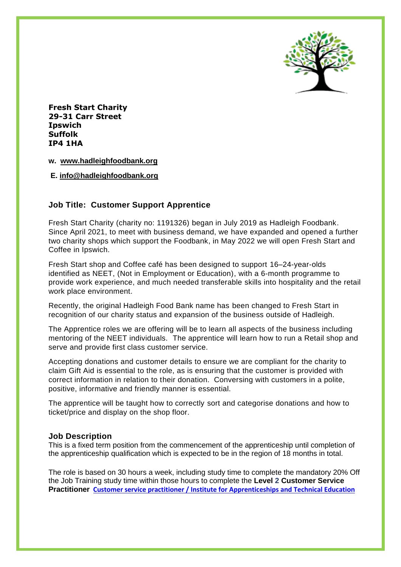

**Fresh Start Charity 29-31 Carr Street Ipswich Suffolk IP4 1HA**

**w. [www.hadleighfoodbank.org](http://www.hadleighfoodbank.org/)**

**E. [info@hadleighfoodbank.org](mailto:info@hadleighfoodbank.org)**

## **Job Title: Customer Support Apprentice**

Fresh Start Charity (charity no: 1191326) began in July 2019 as Hadleigh Foodbank. Since April 2021, to meet with business demand, we have expanded and opened a further two charity shops which support the Foodbank, in May 2022 we will open Fresh Start and Coffee in Ipswich.

Fresh Start shop and Coffee café has been designed to support 16–24-year-olds identified as NEET, (Not in Employment or Education), with a 6-month programme to provide work experience, and much needed transferable skills into hospitality and the retail work place environment.

Recently, the original Hadleigh Food Bank name has been changed to Fresh Start in recognition of our charity status and expansion of the business outside of Hadleigh.

The Apprentice roles we are offering will be to learn all aspects of the business including mentoring of the NEET individuals. The apprentice will learn how to run a Retail shop and serve and provide first class customer service.

Accepting donations and customer details to ensure we are compliant for the charity to claim Gift Aid is essential to the role, as is ensuring that the customer is provided with correct information in relation to their donation. Conversing with customers in a polite, positive, informative and friendly manner is essential.

The apprentice will be taught how to correctly sort and categorise donations and how to ticket/price and display on the shop floor.

#### **Job Description**

This is a fixed term position from the commencement of the apprenticeship until completion of the apprenticeship qualification which is expected to be in the region of 18 months in total.

The role is based on 30 hours a week, including study time to complete the mandatory 20% Off the Job Training study time within those hours to complete the **Level 2 Customer Service Practitioner [Customer service practitioner / Institute for Apprenticeships and Technical Education](https://www.instituteforapprenticeships.org/apprenticeship-standards/customer-service-practitioner-v1-1)**